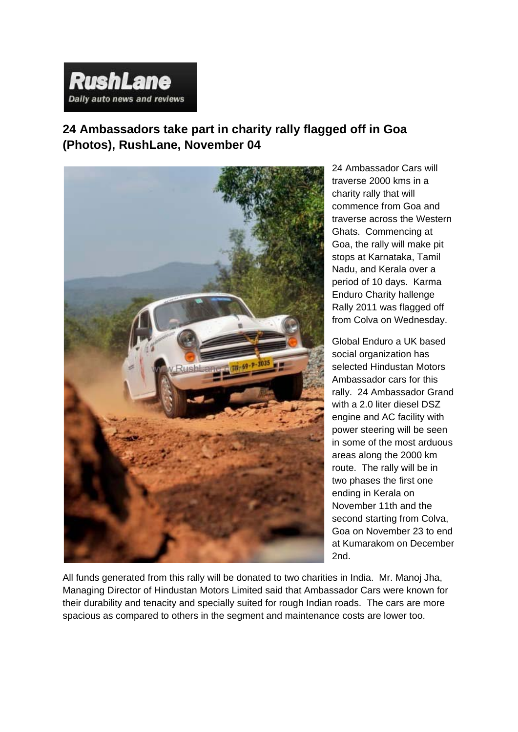## **RushLane** Daily auto news and reviews

**24 Ambassadors take part in charity rally flagged off in Goa (Photos), RushLane, November 04**



24 Ambassador Cars will traverse 2000 kms in a charity rally that will commence from Goa and traverse across the Western Ghats. Commencing at Goa, the rally will make pit stops at Karnataka, Tamil Nadu, and Kerala over a period of 10 days. Karma Enduro Charity hallenge Rally 2011 was flagged off from Colva on Wednesday.

Global Enduro a UK based social organization has selected Hindustan Motors Ambassador cars for this rally. 24 Ambassador Grand with a 2.0 liter diesel DSZ engine and AC facility with power steering will be seen in some of the most arduous areas along the 2000 km route. The rally will be in two phases the first one ending in Kerala on November 11th and the second starting from Colva, Goa on November 23 to end at Kumarakom on December 2nd.

All funds generated from this rally will be donated to two charities in India. Mr. Manoj Jha, Managing Director of Hindustan Motors Limited said that Ambassador Cars were known for their durability and tenacity and specially suited for rough Indian roads. The cars are more spacious as compared to others in the segment and maintenance costs are lower too.